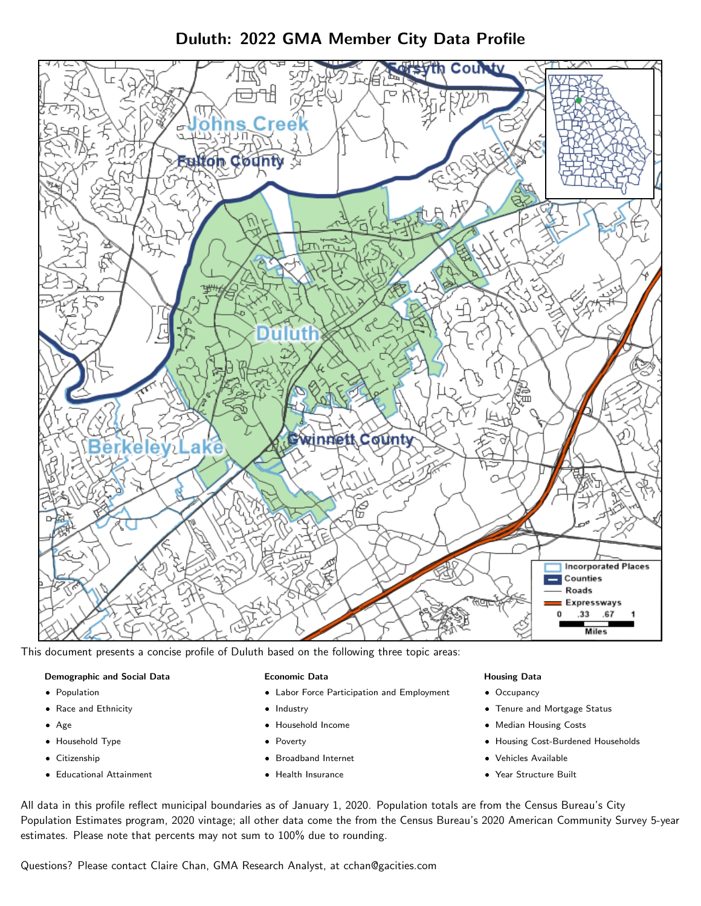Duluth: 2022 GMA Member City Data Profile



This document presents a concise profile of Duluth based on the following three topic areas:

## Demographic and Social Data

- **•** Population
- Race and Ethnicity
- Age
- Household Type
- **Citizenship**
- Educational Attainment

### Economic Data

- Labor Force Participation and Employment
- Industry
- Household Income
- Poverty
- Broadband Internet
- Health Insurance

### Housing Data

- Occupancy
- Tenure and Mortgage Status
- Median Housing Costs
- Housing Cost-Burdened Households
- Vehicles Available
- Year Structure Built

All data in this profile reflect municipal boundaries as of January 1, 2020. Population totals are from the Census Bureau's City Population Estimates program, 2020 vintage; all other data come the from the Census Bureau's 2020 American Community Survey 5-year estimates. Please note that percents may not sum to 100% due to rounding.

Questions? Please contact Claire Chan, GMA Research Analyst, at [cchan@gacities.com.](mailto:cchan@gacities.com)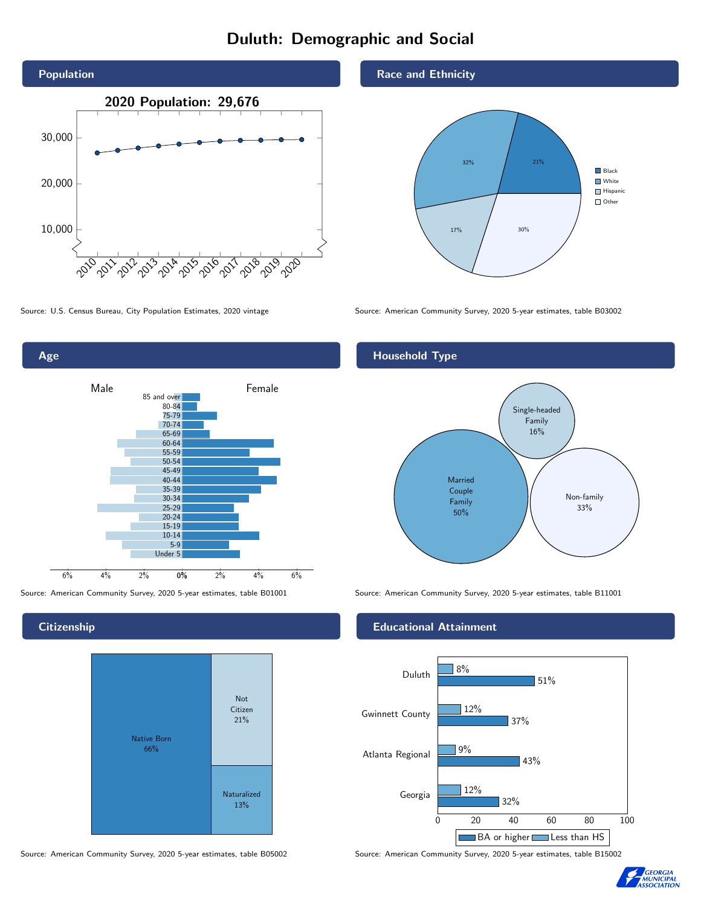# Duluth: Demographic and Social





**Citizenship** 



Source: American Community Survey, 2020 5-year estimates, table B05002 Source: American Community Survey, 2020 5-year estimates, table B15002

#### Race and Ethnicity



Source: U.S. Census Bureau, City Population Estimates, 2020 vintage Source: American Community Survey, 2020 5-year estimates, table B03002

### Household Type



Source: American Community Survey, 2020 5-year estimates, table B01001 Source: American Community Survey, 2020 5-year estimates, table B11001

### Educational Attainment



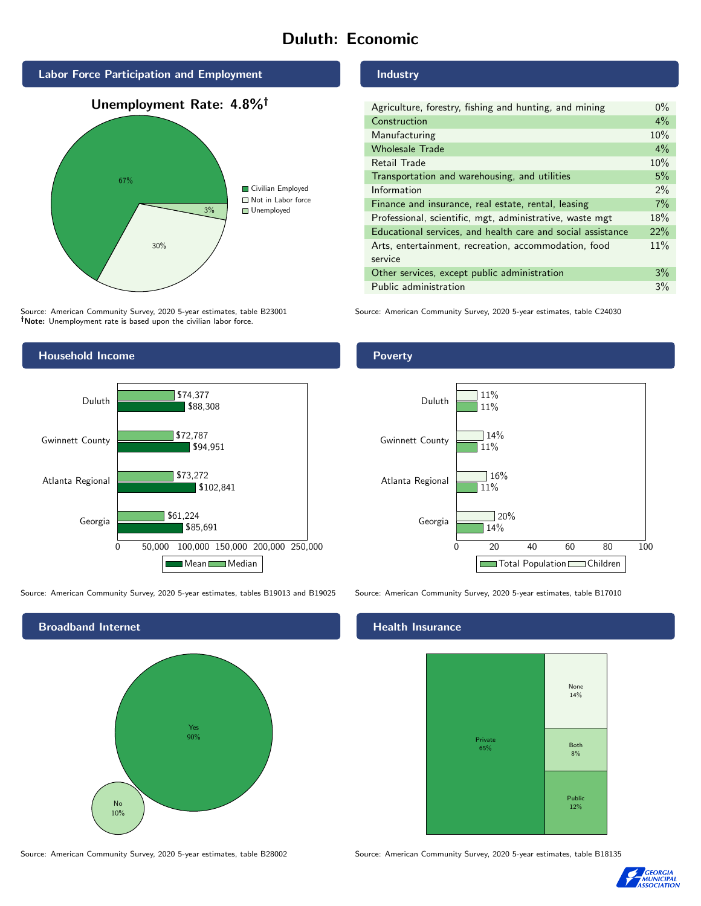# Duluth: Economic



Source: American Community Survey, 2020 5-year estimates, table B23001 Note: Unemployment rate is based upon the civilian labor force.



Source: American Community Survey, 2020 5-year estimates, tables B19013 and B19025 Source: American Community Survey, 2020 5-year estimates, table B17010



#### Industry

| Agriculture, forestry, fishing and hunting, and mining      | $0\%$ |
|-------------------------------------------------------------|-------|
| Construction                                                | $4\%$ |
| Manufacturing                                               | 10%   |
| <b>Wholesale Trade</b>                                      | $4\%$ |
| Retail Trade                                                | 10%   |
| Transportation and warehousing, and utilities               | 5%    |
| Information                                                 | $2\%$ |
| Finance and insurance, real estate, rental, leasing         | 7%    |
| Professional, scientific, mgt, administrative, waste mgt    | 18%   |
| Educational services, and health care and social assistance | 22%   |
| Arts, entertainment, recreation, accommodation, food        | 11%   |
| service                                                     |       |
| Other services, except public administration                | 3%    |
| Public administration                                       | 3%    |

Source: American Community Survey, 2020 5-year estimates, table C24030





## **Health Insurance**



Source: American Community Survey, 2020 5-year estimates, table B28002 Source: American Community Survey, 2020 5-year estimates, table B18135